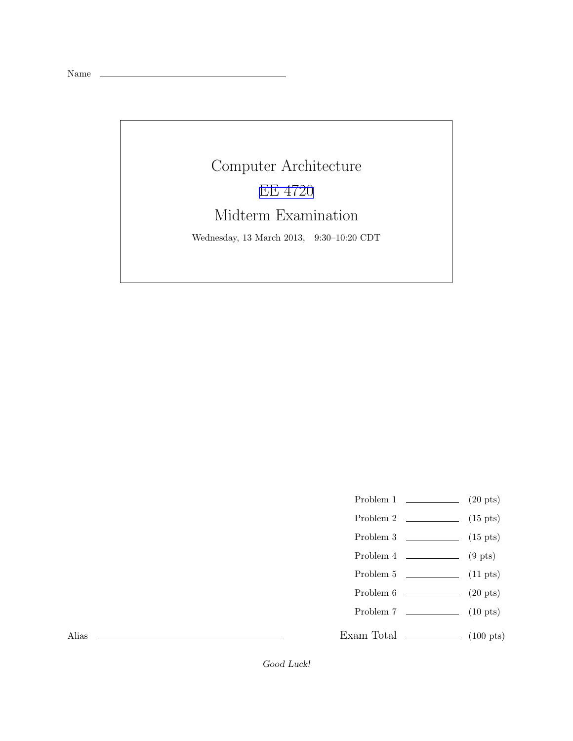Name

## Computer Architecture [EE 4720](http://www.ece.lsu.edu/ee4720/) Midterm Examination Wednesday, 13 March 2013, 9:30–10:20 CDT

- Problem 1 (20 pts)
- Problem 2  $\qquad \qquad$  (15 pts)
- Problem 3  $\qquad \qquad$  (15 pts)
- Problem  $4 \t\t(9 \text{ pts})$
- Problem 5 (11 pts)
- Problem  $6 \t\t(20 \text{ pts})$
- Problem 7 (10 pts)
- Exam Total \_\_\_\_\_\_\_\_\_\_\_\_\_\_ (100 pts)

Alias

Good Luck!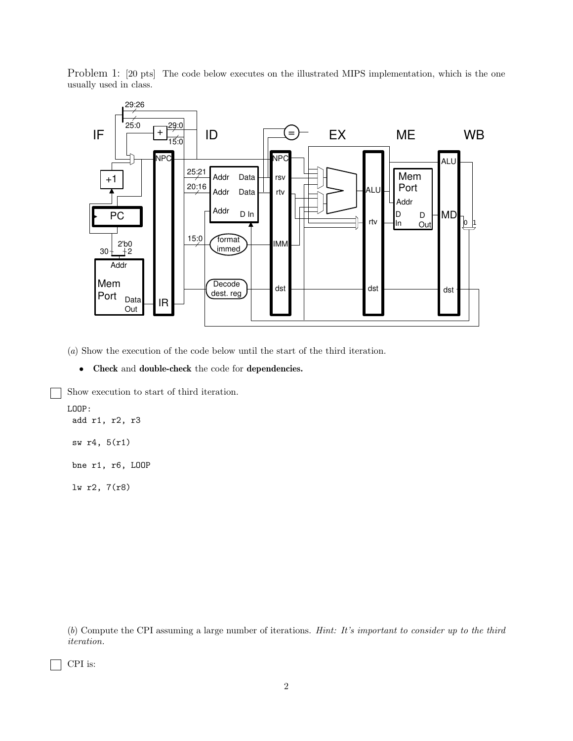Problem 1: [20 pts] The code below executes on the illustrated MIPS implementation, which is the one usually used in class.



(*a*) Show the execution of the code below until the start of the third iteration.

• Check and double-check the code for dependencies.

Show execution to start of third iteration.

```
LOOP:
 add r1, r2, r3
sw r4, 5(r1)
bne r1, r6, LOOP
```
lw r2, 7(r8)

(*b*) Compute the CPI assuming a large number of iterations. *Hint: It's important to consider up to the third iteration.*

CPI is: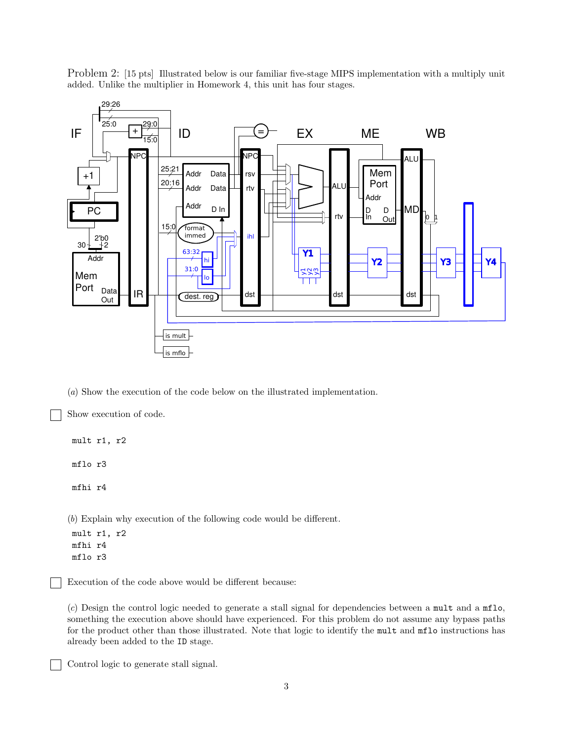Problem 2: [15 pts] Illustrated below is our familiar five-stage MIPS implementation with a multiply unit added. Unlike the multiplier in Homework 4, this unit has four stages.



(*a*) Show the execution of the code below on the illustrated implementation.

Show execution of code.

mult r1, r2

mflo r3

mfhi r4

(*b*) Explain why execution of the following code would be different.

mult r1, r2 mfhi r4 mflo r3

Execution of the code above would be different because:

(*c*) Design the control logic needed to generate a stall signal for dependencies between a mult and a mflo, something the execution above should have experienced. For this problem do not assume any bypass paths for the product other than those illustrated. Note that logic to identify the mult and mflo instructions has already been added to the ID stage.

Control logic to generate stall signal.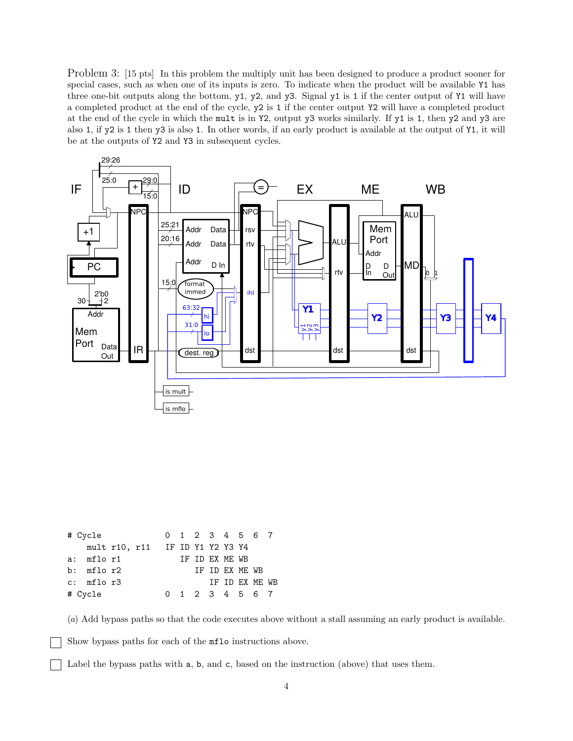Problem 3: [15 pts] In this problem the multiply unit has been designed to produce a product sooner for special cases, such as when one of its inputs is zero. To indicate when the product will be available Y1 has three one-bit outputs along the bottom, y1, y2, and y3. Signal y1 is 1 if the center output of Y1 will have a completed product at the end of the cycle, y2 is 1 if the center output Y2 will have a completed product at the end of the cycle in which the mult is in Y2, output y3 works similarly. If y1 is 1, then y2 and y3 are also 1, if y2 is 1 then y3 is also 1. In other words, if an early product is available at the output of Y1, it will be at the outputs of Y2 and Y3 in subsequent cycles.



| # Cycle |                |  |                                 |  | 0 1 2 3 4 5 6 7 |                |  |
|---------|----------------|--|---------------------------------|--|-----------------|----------------|--|
|         |                |  | mult r10, r11 IF ID Y1 Y2 Y3 Y4 |  |                 |                |  |
|         | a: mflor1      |  |                                 |  | TF TD FX MF. WB |                |  |
|         | $b:$ mflo $r2$ |  |                                 |  |                 | TF TD EX ME WB |  |
|         | $c:$ mflo $r3$ |  |                                 |  |                 | TF TD FX MF WB |  |
| # Cycle |                |  |                                 |  | 0 1 2 3 4 5 6 7 |                |  |

(*a*) Add bypass paths so that the code executes above without a stall assuming an early product is available.

Show bypass paths for each of the mflo instructions above.

Label the bypass paths with a, b, and c, based on the instruction (above) that uses them.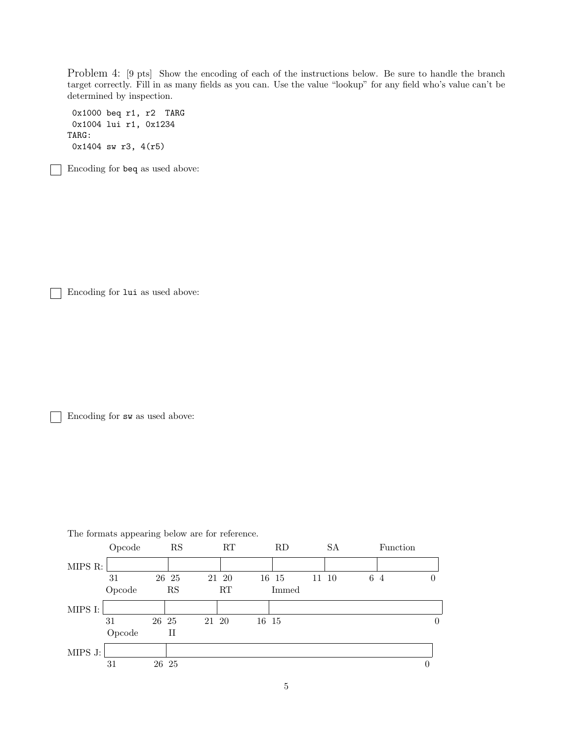Problem 4: [9 pts] Show the encoding of each of the instructions below. Be sure to handle the branch target correctly. Fill in as many fields as you can. Use the value "lookup" for any field who's value can't be determined by inspection.

0x1000 beq r1, r2 TARG 0x1004 lui r1, 0x1234 TARG: 0x1404 sw r3, 4(r5)

Encoding for beq as used above:

Encoding for lui as used above:

Encoding for sw as used above:



The formats appearing below are for reference.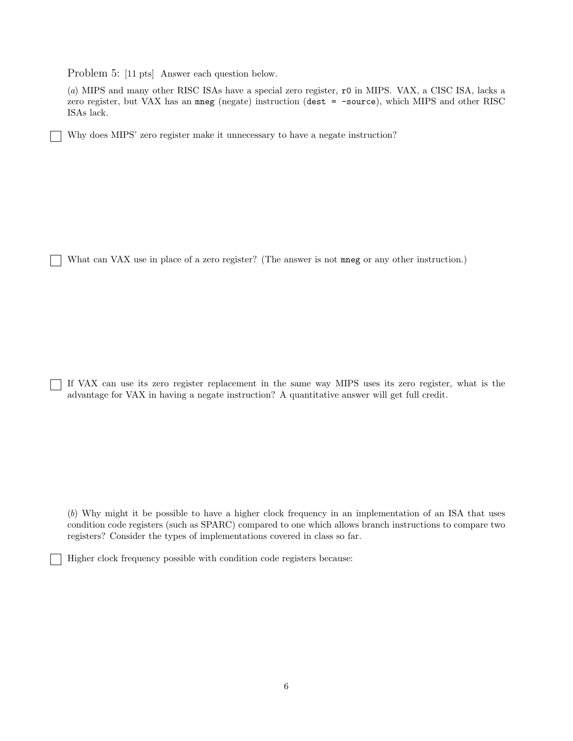Problem 5: [11 pts] Answer each question below.

٦

(*a*) MIPS and many other RISC ISAs have a special zero register, r0 in MIPS. VAX, a CISC ISA, lacks a zero register, but VAX has an mneg (negate) instruction (dest = -source), which MIPS and other RISC ISAs lack.

Why does MIPS' zero register make it unnecessary to have a negate instruction?

What can VAX use in place of a zero register? (The answer is not mneg or any other instruction.)

If VAX can use its zero register replacement in the same way MIPS uses its zero register, what is the advantage for VAX in having a negate instruction? A quantitative answer will get full credit.

(*b*) Why might it be possible to have a higher clock frequency in an implementation of an ISA that uses condition code registers (such as SPARC) compared to one which allows branch instructions to compare two registers? Consider the types of implementations covered in class so far.

Higher clock frequency possible with condition code registers because: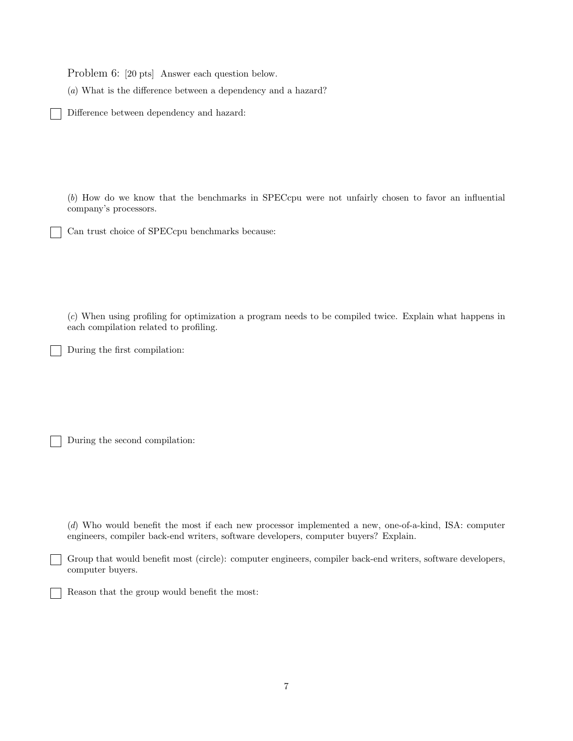Problem 6: [20 pts] Answer each question below.

(*a*) What is the difference between a dependency and a hazard?

Difference between dependency and hazard:

(*b*) How do we know that the benchmarks in SPECcpu were not unfairly chosen to favor an influential company's processors.

Can trust choice of SPECcpu benchmarks because:

(*c*) When using profiling for optimization a program needs to be compiled twice. Explain what happens in each compilation related to profiling.

During the first compilation:

During the second compilation:

(*d*) Who would benefit the most if each new processor implemented a new, one-of-a-kind, ISA: computer engineers, compiler back-end writers, software developers, computer buyers? Explain.

Group that would benefit most (circle): computer engineers, compiler back-end writers, software developers, computer buyers.

Reason that the group would benefit the most: